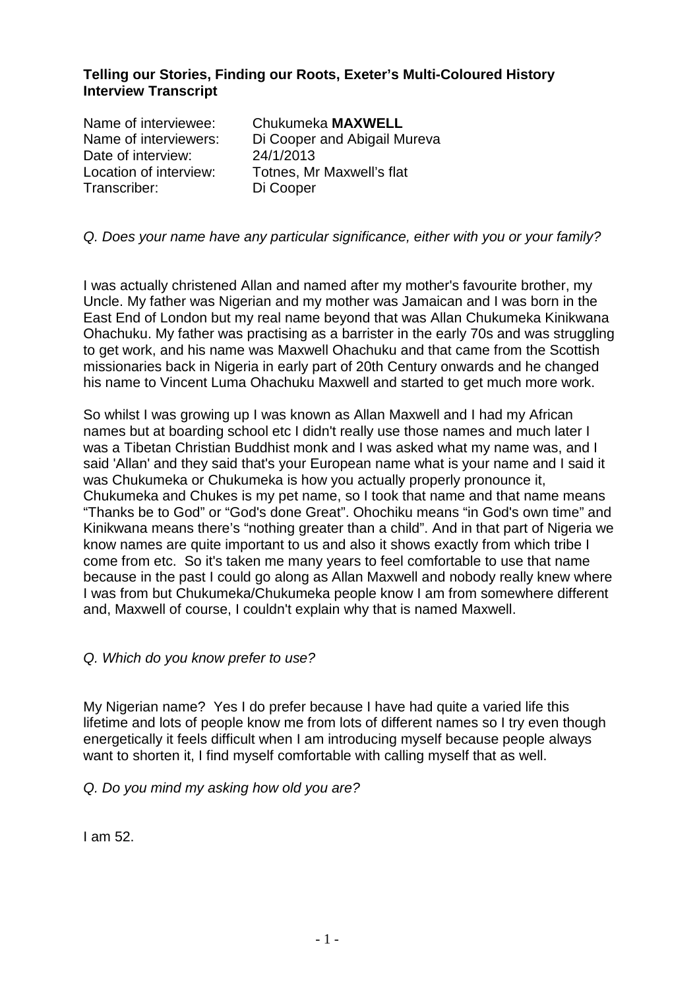## **Telling our Stories, Finding our Roots, Exeter's Multi-Coloured History Interview Transcript**

| Name of interviewee:   | Chukumeka MAXWELL            |
|------------------------|------------------------------|
| Name of interviewers:  | Di Cooper and Abigail Mureva |
| Date of interview:     | 24/1/2013                    |
| Location of interview: | Totnes, Mr Maxwell's flat    |
| Transcriber:           | Di Cooper                    |

### Q. Does your name have any particular significance, either with you or your family?

I was actually christened Allan and named after my mother's favourite brother, my Uncle. My father was Nigerian and my mother was Jamaican and I was born in the East End of London but my real name beyond that was Allan Chukumeka Kinikwana Ohachuku. My father was practising as a barrister in the early 70s and was struggling to get work, and his name was Maxwell Ohachuku and that came from the Scottish missionaries back in Nigeria in early part of 20th Century onwards and he changed his name to Vincent Luma Ohachuku Maxwell and started to get much more work.

So whilst I was growing up I was known as Allan Maxwell and I had my African names but at boarding school etc I didn't really use those names and much later I was a Tibetan Christian Buddhist monk and I was asked what my name was, and I said 'Allan' and they said that's your European name what is your name and I said it was Chukumeka or Chukumeka is how you actually properly pronounce it, Chukumeka and Chukes is my pet name, so I took that name and that name means "Thanks be to God" or "God's done Great". Ohochiku means "in God's own time" and Kinikwana means there's "nothing greater than a child". And in that part of Nigeria we know names are quite important to us and also it shows exactly from which tribe I come from etc. So it's taken me many years to feel comfortable to use that name because in the past I could go along as Allan Maxwell and nobody really knew where I was from but Chukumeka/Chukumeka people know I am from somewhere different and, Maxwell of course, I couldn't explain why that is named Maxwell.

### Q. Which do you know prefer to use?

My Nigerian name? Yes I do prefer because I have had quite a varied life this lifetime and lots of people know me from lots of different names so I try even though energetically it feels difficult when I am introducing myself because people always want to shorten it, I find myself comfortable with calling myself that as well.

### Q. Do you mind my asking how old you are?

I am 52.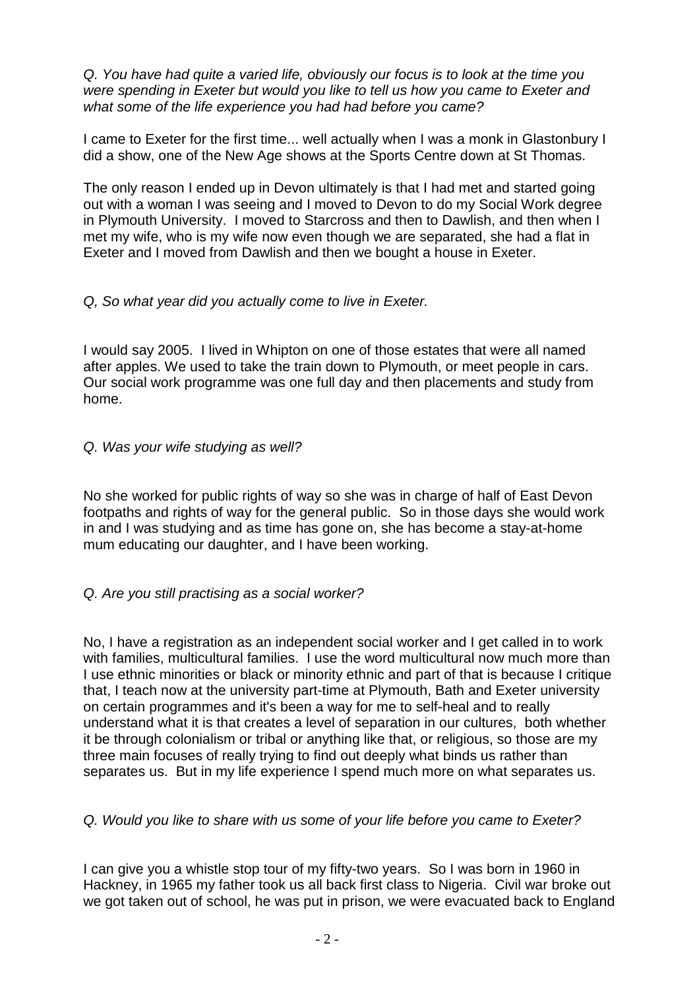Q. You have had quite a varied life, obviously our focus is to look at the time you were spending in Exeter but would you like to tell us how you came to Exeter and what some of the life experience you had had before you came?

I came to Exeter for the first time... well actually when I was a monk in Glastonbury I did a show, one of the New Age shows at the Sports Centre down at St Thomas.

The only reason I ended up in Devon ultimately is that I had met and started going out with a woman I was seeing and I moved to Devon to do my Social Work degree in Plymouth University. I moved to Starcross and then to Dawlish, and then when I met my wife, who is my wife now even though we are separated, she had a flat in Exeter and I moved from Dawlish and then we bought a house in Exeter.

# Q, So what year did you actually come to live in Exeter.

I would say 2005. I lived in Whipton on one of those estates that were all named after apples. We used to take the train down to Plymouth, or meet people in cars. Our social work programme was one full day and then placements and study from home.

# Q. Was your wife studying as well?

No she worked for public rights of way so she was in charge of half of East Devon footpaths and rights of way for the general public. So in those days she would work in and I was studying and as time has gone on, she has become a stay-at-home mum educating our daughter, and I have been working.

# Q. Are you still practising as a social worker?

No. I have a registration as an independent social worker and I get called in to work with families, multicultural families. I use the word multicultural now much more than I use ethnic minorities or black or minority ethnic and part of that is because I critique that, I teach now at the university part-time at Plymouth, Bath and Exeter university on certain programmes and it's been a way for me to self-heal and to really understand what it is that creates a level of separation in our cultures, both whether it be through colonialism or tribal or anything like that, or religious, so those are my three main focuses of really trying to find out deeply what binds us rather than separates us. But in my life experience I spend much more on what separates us.

# Q. Would you like to share with us some of your life before you came to Exeter?

I can give you a whistle stop tour of my fifty-two years. So I was born in 1960 in Hackney, in 1965 my father took us all back first class to Nigeria. Civil war broke out we got taken out of school, he was put in prison, we were evacuated back to England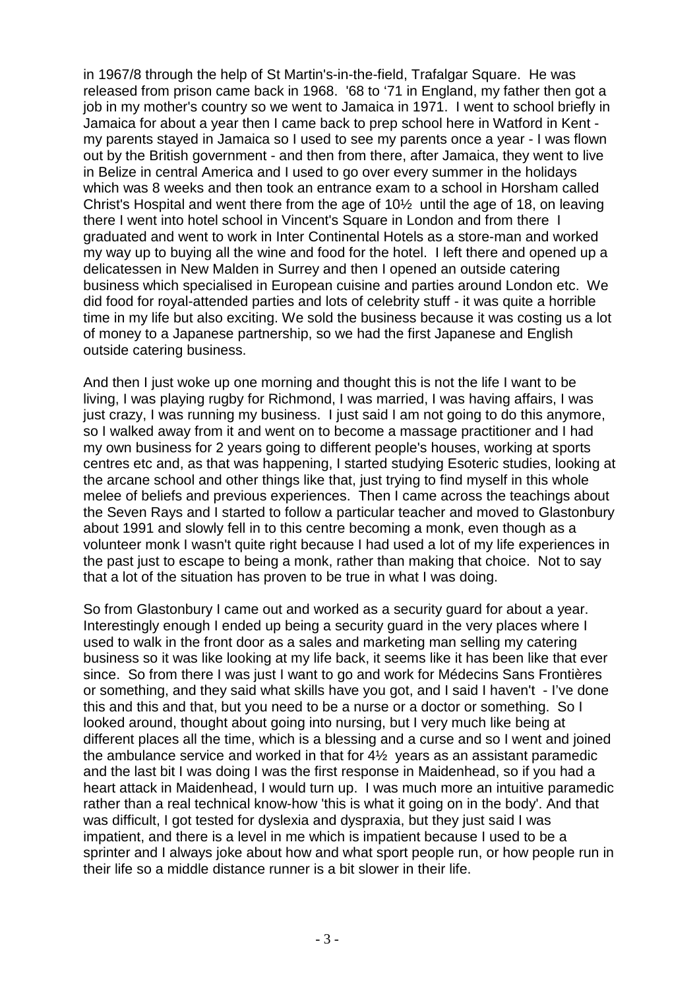in 1967/8 through the help of St Martin's-in-the-field, Trafalgar Square. He was released from prison came back in 1968. '68 to '71 in England, my father then got a job in my mother's country so we went to Jamaica in 1971. I went to school briefly in Jamaica for about a year then I came back to prep school here in Watford in Kent my parents stayed in Jamaica so I used to see my parents once a year - I was flown out by the British government - and then from there, after Jamaica, they went to live in Belize in central America and I used to go over every summer in the holidays which was 8 weeks and then took an entrance exam to a school in Horsham called Christ's Hospital and went there from the age of 10½ until the age of 18, on leaving there I went into hotel school in Vincent's Square in London and from there I graduated and went to work in Inter Continental Hotels as a store-man and worked my way up to buying all the wine and food for the hotel. I left there and opened up a delicatessen in New Malden in Surrey and then I opened an outside catering business which specialised in European cuisine and parties around London etc. We did food for royal-attended parties and lots of celebrity stuff - it was quite a horrible time in my life but also exciting. We sold the business because it was costing us a lot of money to a Japanese partnership, so we had the first Japanese and English outside catering business.

And then I just woke up one morning and thought this is not the life I want to be living, I was playing rugby for Richmond, I was married, I was having affairs, I was just crazy, I was running my business. I just said I am not going to do this anymore, so I walked away from it and went on to become a massage practitioner and I had my own business for 2 years going to different people's houses, working at sports centres etc and, as that was happening, I started studying Esoteric studies, looking at the arcane school and other things like that, just trying to find myself in this whole melee of beliefs and previous experiences. Then I came across the teachings about the Seven Rays and I started to follow a particular teacher and moved to Glastonbury about 1991 and slowly fell in to this centre becoming a monk, even though as a volunteer monk I wasn't quite right because I had used a lot of my life experiences in the past just to escape to being a monk, rather than making that choice. Not to say that a lot of the situation has proven to be true in what I was doing.

So from Glastonbury I came out and worked as a security guard for about a year. Interestingly enough I ended up being a security guard in the very places where I used to walk in the front door as a sales and marketing man selling my catering business so it was like looking at my life back, it seems like it has been like that ever since. So from there I was just I want to go and work for Médecins Sans Frontières or something, and they said what skills have you got, and I said I haven't - I've done this and this and that, but you need to be a nurse or a doctor or something. So I looked around, thought about going into nursing, but I very much like being at different places all the time, which is a blessing and a curse and so I went and joined the ambulance service and worked in that for 4½ years as an assistant paramedic and the last bit I was doing I was the first response in Maidenhead, so if you had a heart attack in Maidenhead, I would turn up. I was much more an intuitive paramedic rather than a real technical know-how 'this is what it going on in the body'. And that was difficult. I got tested for dyslexia and dyspraxia, but they just said I was impatient, and there is a level in me which is impatient because I used to be a sprinter and I always joke about how and what sport people run, or how people run in their life so a middle distance runner is a bit slower in their life.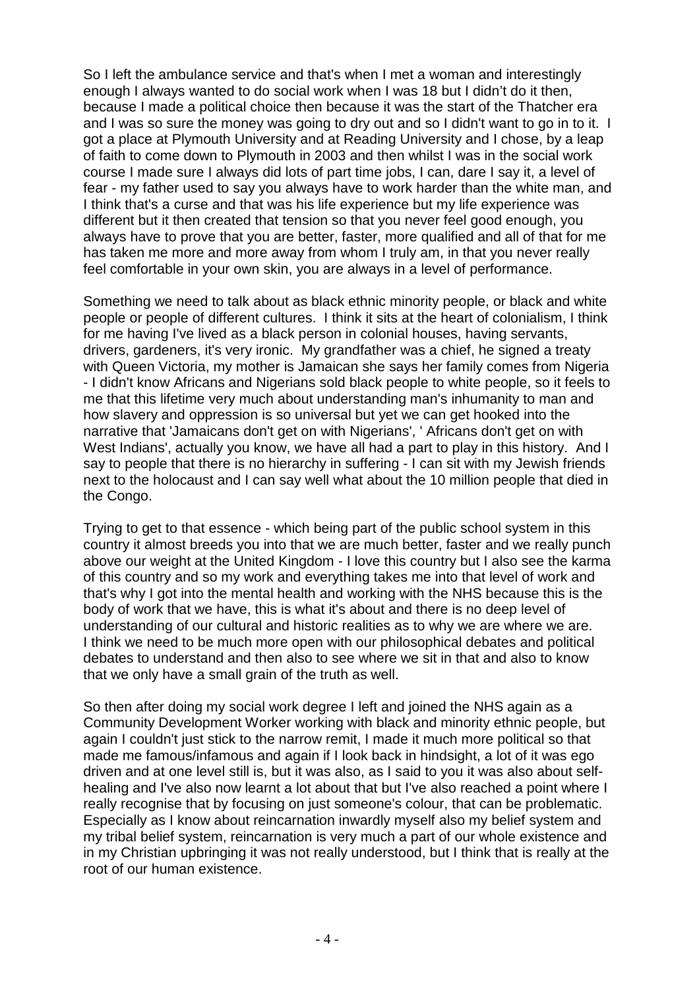So I left the ambulance service and that's when I met a woman and interestingly enough I always wanted to do social work when I was 18 but I didn't do it then, because I made a political choice then because it was the start of the Thatcher era and I was so sure the money was going to dry out and so I didn't want to go in to it. I got a place at Plymouth University and at Reading University and I chose, by a leap of faith to come down to Plymouth in 2003 and then whilst I was in the social work course I made sure I always did lots of part time jobs, I can, dare I say it, a level of fear - my father used to say you always have to work harder than the white man, and I think that's a curse and that was his life experience but my life experience was different but it then created that tension so that you never feel good enough, you always have to prove that you are better, faster, more qualified and all of that for me has taken me more and more away from whom I truly am, in that you never really feel comfortable in your own skin, you are always in a level of performance.

Something we need to talk about as black ethnic minority people, or black and white people or people of different cultures. I think it sits at the heart of colonialism, I think for me having I've lived as a black person in colonial houses, having servants, drivers, gardeners, it's very ironic. My grandfather was a chief, he signed a treaty with Queen Victoria, my mother is Jamaican she says her family comes from Nigeria - I didn't know Africans and Nigerians sold black people to white people, so it feels to me that this lifetime very much about understanding man's inhumanity to man and how slavery and oppression is so universal but yet we can get hooked into the narrative that 'Jamaicans don't get on with Nigerians', ' Africans don't get on with West Indians', actually you know, we have all had a part to play in this history. And I say to people that there is no hierarchy in suffering - I can sit with my Jewish friends next to the holocaust and I can say well what about the 10 million people that died in the Congo.

Trying to get to that essence - which being part of the public school system in this country it almost breeds you into that we are much better, faster and we really punch above our weight at the United Kingdom - I love this country but I also see the karma of this country and so my work and everything takes me into that level of work and that's why I got into the mental health and working with the NHS because this is the body of work that we have, this is what it's about and there is no deep level of understanding of our cultural and historic realities as to why we are where we are. I think we need to be much more open with our philosophical debates and political debates to understand and then also to see where we sit in that and also to know that we only have a small grain of the truth as well.

So then after doing my social work degree I left and joined the NHS again as a Community Development Worker working with black and minority ethnic people, but again I couldn't just stick to the narrow remit, I made it much more political so that made me famous/infamous and again if I look back in hindsight, a lot of it was ego driven and at one level still is, but it was also, as I said to you it was also about selfhealing and I've also now learnt a lot about that but I've also reached a point where I really recognise that by focusing on just someone's colour, that can be problematic. Especially as I know about reincarnation inwardly myself also my belief system and my tribal belief system, reincarnation is very much a part of our whole existence and in my Christian upbringing it was not really understood, but I think that is really at the root of our human existence.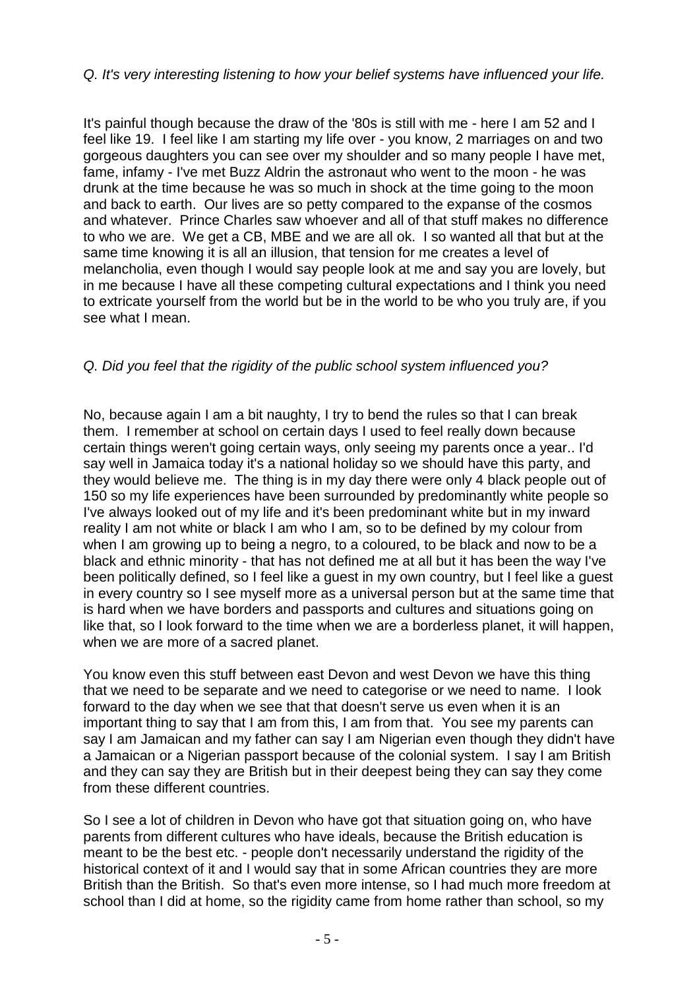# Q. It's very interesting listening to how your belief systems have influenced your life.

It's painful though because the draw of the '80s is still with me - here I am 52 and I feel like 19. I feel like I am starting my life over - you know, 2 marriages on and two gorgeous daughters you can see over my shoulder and so many people I have met, fame, infamy - I've met Buzz Aldrin the astronaut who went to the moon - he was drunk at the time because he was so much in shock at the time going to the moon and back to earth. Our lives are so petty compared to the expanse of the cosmos and whatever. Prince Charles saw whoever and all of that stuff makes no difference to who we are. We get a CB, MBE and we are all ok. I so wanted all that but at the same time knowing it is all an illusion, that tension for me creates a level of melancholia, even though I would say people look at me and say you are lovely, but in me because I have all these competing cultural expectations and I think you need to extricate yourself from the world but be in the world to be who you truly are, if you see what I mean.

# Q. Did you feel that the rigidity of the public school system influenced you?

No, because again I am a bit naughty, I try to bend the rules so that I can break them. I remember at school on certain days I used to feel really down because certain things weren't going certain ways, only seeing my parents once a year.. I'd say well in Jamaica today it's a national holiday so we should have this party, and they would believe me. The thing is in my day there were only 4 black people out of 150 so my life experiences have been surrounded by predominantly white people so I've always looked out of my life and it's been predominant white but in my inward reality I am not white or black I am who I am, so to be defined by my colour from when I am growing up to being a negro, to a coloured, to be black and now to be a black and ethnic minority - that has not defined me at all but it has been the way I've been politically defined, so I feel like a guest in my own country, but I feel like a guest in every country so I see myself more as a universal person but at the same time that is hard when we have borders and passports and cultures and situations going on like that, so I look forward to the time when we are a borderless planet, it will happen, when we are more of a sacred planet.

You know even this stuff between east Devon and west Devon we have this thing that we need to be separate and we need to categorise or we need to name. I look forward to the day when we see that that doesn't serve us even when it is an important thing to say that I am from this, I am from that. You see my parents can say I am Jamaican and my father can say I am Nigerian even though they didn't have a Jamaican or a Nigerian passport because of the colonial system. I say I am British and they can say they are British but in their deepest being they can say they come from these different countries.

So I see a lot of children in Devon who have got that situation going on, who have parents from different cultures who have ideals, because the British education is meant to be the best etc. - people don't necessarily understand the rigidity of the historical context of it and I would say that in some African countries they are more British than the British. So that's even more intense, so I had much more freedom at school than I did at home, so the rigidity came from home rather than school, so my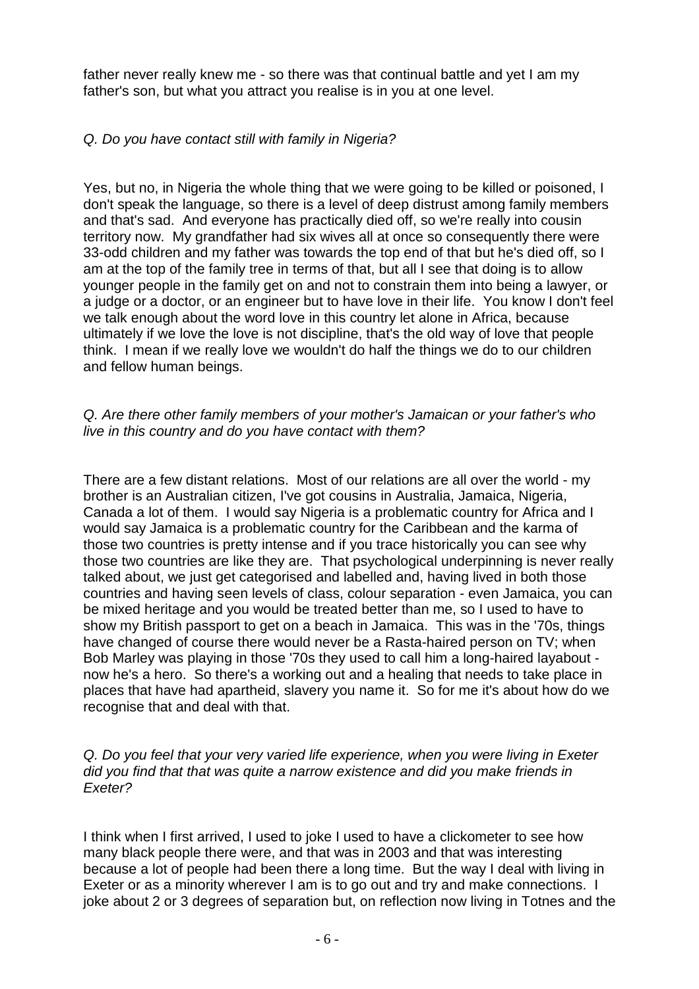father never really knew me - so there was that continual battle and yet I am my father's son, but what you attract you realise is in you at one level.

# Q. Do you have contact still with family in Nigeria?

Yes, but no, in Nigeria the whole thing that we were going to be killed or poisoned, I don't speak the language, so there is a level of deep distrust among family members and that's sad. And everyone has practically died off, so we're really into cousin territory now. My grandfather had six wives all at once so consequently there were 33-odd children and my father was towards the top end of that but he's died off, so I am at the top of the family tree in terms of that, but all I see that doing is to allow younger people in the family get on and not to constrain them into being a lawyer, or a judge or a doctor, or an engineer but to have love in their life. You know I don't feel we talk enough about the word love in this country let alone in Africa, because ultimately if we love the love is not discipline, that's the old way of love that people think. I mean if we really love we wouldn't do half the things we do to our children and fellow human beings.

### Q. Are there other family members of your mother's Jamaican or your father's who live in this country and do you have contact with them?

There are a few distant relations. Most of our relations are all over the world - my brother is an Australian citizen, I've got cousins in Australia, Jamaica, Nigeria, Canada a lot of them. I would say Nigeria is a problematic country for Africa and I would say Jamaica is a problematic country for the Caribbean and the karma of those two countries is pretty intense and if you trace historically you can see why those two countries are like they are. That psychological underpinning is never really talked about, we just get categorised and labelled and, having lived in both those countries and having seen levels of class, colour separation - even Jamaica, you can be mixed heritage and you would be treated better than me, so I used to have to show my British passport to get on a beach in Jamaica. This was in the '70s, things have changed of course there would never be a Rasta-haired person on TV; when Bob Marley was playing in those '70s they used to call him a long-haired layabout now he's a hero. So there's a working out and a healing that needs to take place in places that have had apartheid, slavery you name it. So for me it's about how do we recognise that and deal with that.

### Q. Do you feel that your very varied life experience, when you were living in Exeter did you find that that was quite a narrow existence and did you make friends in Exeter?

I think when I first arrived, I used to joke I used to have a clickometer to see how many black people there were, and that was in 2003 and that was interesting because a lot of people had been there a long time. But the way I deal with living in Exeter or as a minority wherever I am is to go out and try and make connections. I joke about 2 or 3 degrees of separation but, on reflection now living in Totnes and the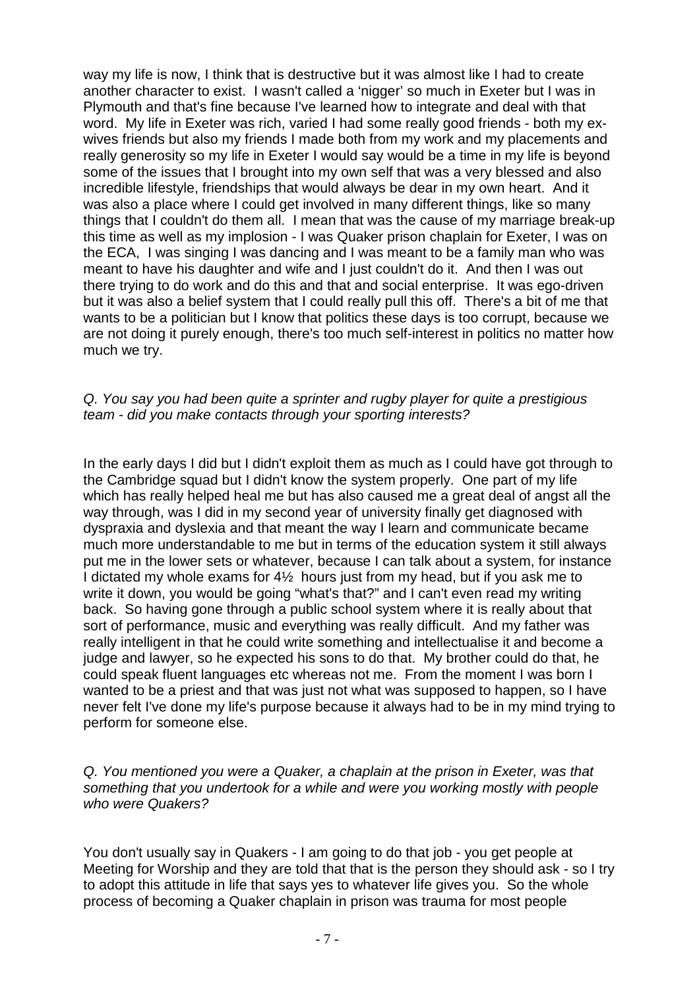way my life is now, I think that is destructive but it was almost like I had to create another character to exist. I wasn't called a 'nigger' so much in Exeter but I was in Plymouth and that's fine because I've learned how to integrate and deal with that word. My life in Exeter was rich, varied I had some really good friends - both my exwives friends but also my friends I made both from my work and my placements and really generosity so my life in Exeter I would say would be a time in my life is beyond some of the issues that I brought into my own self that was a very blessed and also incredible lifestyle, friendships that would always be dear in my own heart. And it was also a place where I could get involved in many different things, like so many things that I couldn't do them all. I mean that was the cause of my marriage break-up this time as well as my implosion - I was Quaker prison chaplain for Exeter, I was on the ECA, I was singing I was dancing and I was meant to be a family man who was meant to have his daughter and wife and I just couldn't do it. And then I was out there trying to do work and do this and that and social enterprise. It was ego-driven but it was also a belief system that I could really pull this off. There's a bit of me that wants to be a politician but I know that politics these days is too corrupt, because we are not doing it purely enough, there's too much self-interest in politics no matter how much we try.

## Q. You say you had been quite a sprinter and rugby player for quite a prestigious team - did you make contacts through your sporting interests?

In the early days I did but I didn't exploit them as much as I could have got through to the Cambridge squad but I didn't know the system properly. One part of my life which has really helped heal me but has also caused me a great deal of angst all the way through, was I did in my second year of university finally get diagnosed with dyspraxia and dyslexia and that meant the way I learn and communicate became much more understandable to me but in terms of the education system it still always put me in the lower sets or whatever, because I can talk about a system, for instance I dictated my whole exams for 4½ hours just from my head, but if you ask me to write it down, you would be going "what's that?" and I can't even read my writing back. So having gone through a public school system where it is really about that sort of performance, music and everything was really difficult. And my father was really intelligent in that he could write something and intellectualise it and become a judge and lawyer, so he expected his sons to do that. My brother could do that, he could speak fluent languages etc whereas not me. From the moment I was born I wanted to be a priest and that was just not what was supposed to happen, so I have never felt I've done my life's purpose because it always had to be in my mind trying to perform for someone else.

### Q. You mentioned you were a Quaker, a chaplain at the prison in Exeter, was that something that you undertook for a while and were you working mostly with people who were Quakers?

You don't usually say in Quakers - I am going to do that job - you get people at Meeting for Worship and they are told that that is the person they should ask - so I try to adopt this attitude in life that says yes to whatever life gives you. So the whole process of becoming a Quaker chaplain in prison was trauma for most people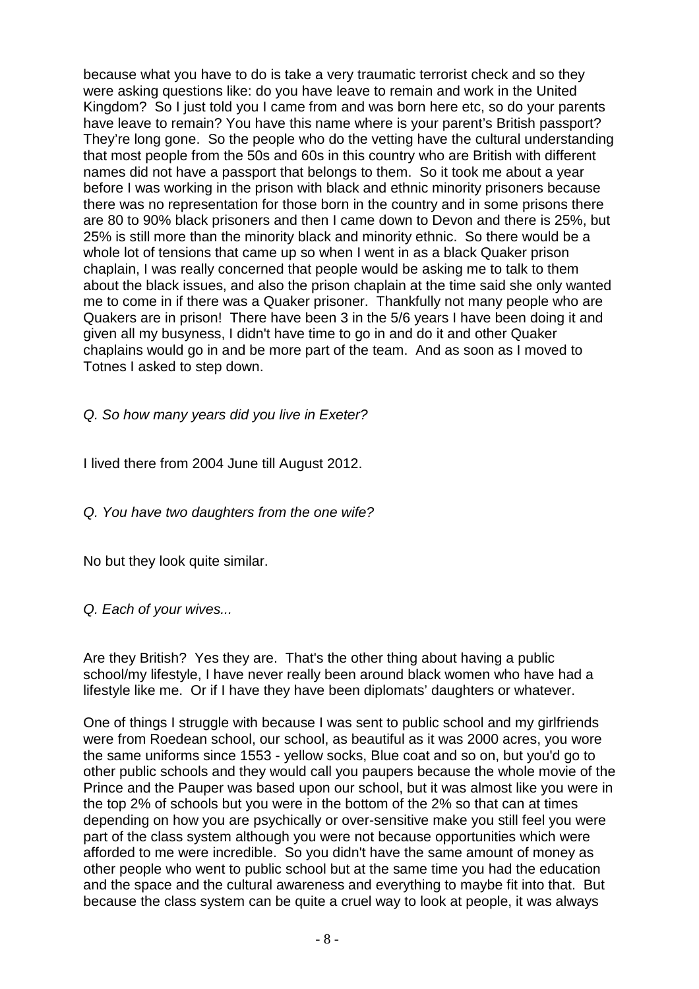because what you have to do is take a very traumatic terrorist check and so they were asking questions like: do you have leave to remain and work in the United Kingdom? So I just told you I came from and was born here etc, so do your parents have leave to remain? You have this name where is your parent's British passport? They're long gone. So the people who do the vetting have the cultural understanding that most people from the 50s and 60s in this country who are British with different names did not have a passport that belongs to them. So it took me about a year before I was working in the prison with black and ethnic minority prisoners because there was no representation for those born in the country and in some prisons there are 80 to 90% black prisoners and then I came down to Devon and there is 25%, but 25% is still more than the minority black and minority ethnic. So there would be a whole lot of tensions that came up so when I went in as a black Quaker prison chaplain, I was really concerned that people would be asking me to talk to them about the black issues, and also the prison chaplain at the time said she only wanted me to come in if there was a Quaker prisoner. Thankfully not many people who are Quakers are in prison! There have been 3 in the 5/6 years I have been doing it and given all my busyness, I didn't have time to go in and do it and other Quaker chaplains would go in and be more part of the team. And as soon as I moved to Totnes I asked to step down.

Q. So how many years did you live in Exeter?

I lived there from 2004 June till August 2012.

Q. You have two daughters from the one wife?

No but they look quite similar.

Q. Each of your wives...

Are they British? Yes they are. That's the other thing about having a public school/my lifestyle, I have never really been around black women who have had a lifestyle like me. Or if I have they have been diplomats' daughters or whatever.

One of things I struggle with because I was sent to public school and my girlfriends were from Roedean school, our school, as beautiful as it was 2000 acres, you wore the same uniforms since 1553 - yellow socks, Blue coat and so on, but you'd go to other public schools and they would call you paupers because the whole movie of the Prince and the Pauper was based upon our school, but it was almost like you were in the top 2% of schools but you were in the bottom of the 2% so that can at times depending on how you are psychically or over-sensitive make you still feel you were part of the class system although you were not because opportunities which were afforded to me were incredible. So you didn't have the same amount of money as other people who went to public school but at the same time you had the education and the space and the cultural awareness and everything to maybe fit into that. But because the class system can be quite a cruel way to look at people, it was always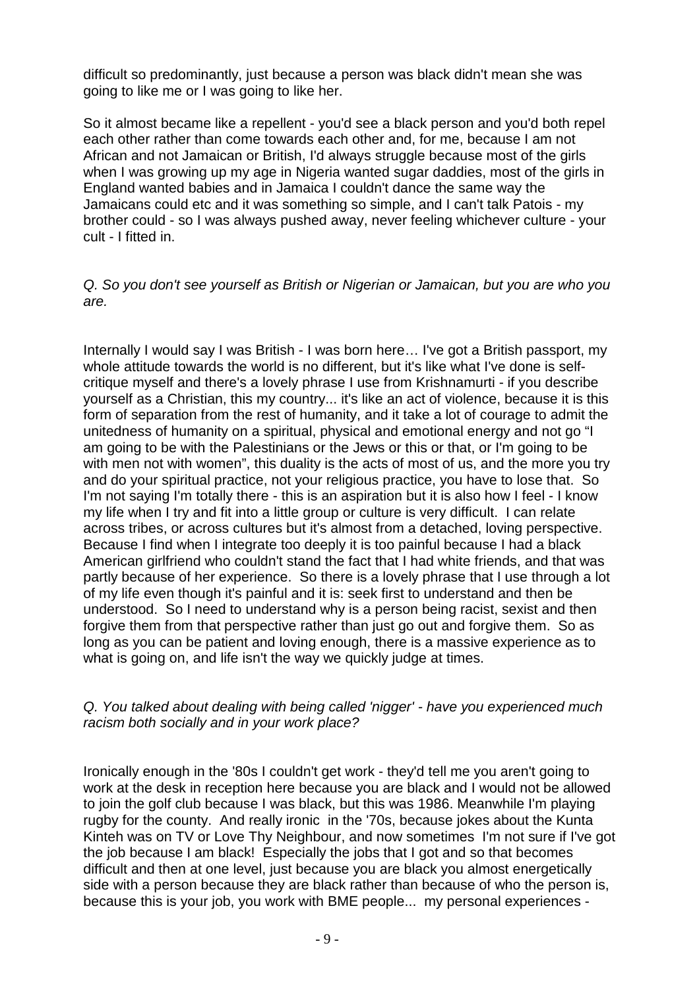difficult so predominantly, just because a person was black didn't mean she was going to like me or I was going to like her.

So it almost became like a repellent - you'd see a black person and you'd both repel each other rather than come towards each other and, for me, because I am not African and not Jamaican or British, I'd always struggle because most of the girls when I was growing up my age in Nigeria wanted sugar daddies, most of the girls in England wanted babies and in Jamaica I couldn't dance the same way the Jamaicans could etc and it was something so simple, and I can't talk Patois - my brother could - so I was always pushed away, never feeling whichever culture - your cult - I fitted in.

## Q. So you don't see yourself as British or Nigerian or Jamaican, but you are who you are.

Internally I would say I was British - I was born here… I've got a British passport, my whole attitude towards the world is no different, but it's like what I've done is selfcritique myself and there's a lovely phrase I use from Krishnamurti - if you describe yourself as a Christian, this my country... it's like an act of violence, because it is this form of separation from the rest of humanity, and it take a lot of courage to admit the unitedness of humanity on a spiritual, physical and emotional energy and not go "I am going to be with the Palestinians or the Jews or this or that, or I'm going to be with men not with women", this duality is the acts of most of us, and the more you try and do your spiritual practice, not your religious practice, you have to lose that. So I'm not saying I'm totally there - this is an aspiration but it is also how I feel - I know my life when I try and fit into a little group or culture is very difficult. I can relate across tribes, or across cultures but it's almost from a detached, loving perspective. Because I find when I integrate too deeply it is too painful because I had a black American girlfriend who couldn't stand the fact that I had white friends, and that was partly because of her experience. So there is a lovely phrase that I use through a lot of my life even though it's painful and it is: seek first to understand and then be understood. So I need to understand why is a person being racist, sexist and then forgive them from that perspective rather than just go out and forgive them. So as long as you can be patient and loving enough, there is a massive experience as to what is going on, and life isn't the way we quickly judge at times.

### Q. You talked about dealing with being called 'nigger' - have you experienced much racism both socially and in your work place?

Ironically enough in the '80s I couldn't get work - they'd tell me you aren't going to work at the desk in reception here because you are black and I would not be allowed to join the golf club because I was black, but this was 1986. Meanwhile I'm playing rugby for the county. And really ironic in the '70s, because jokes about the Kunta Kinteh was on TV or Love Thy Neighbour, and now sometimes I'm not sure if I've got the job because I am black! Especially the jobs that I got and so that becomes difficult and then at one level, just because you are black you almost energetically side with a person because they are black rather than because of who the person is, because this is your job, you work with BME people... my personal experiences -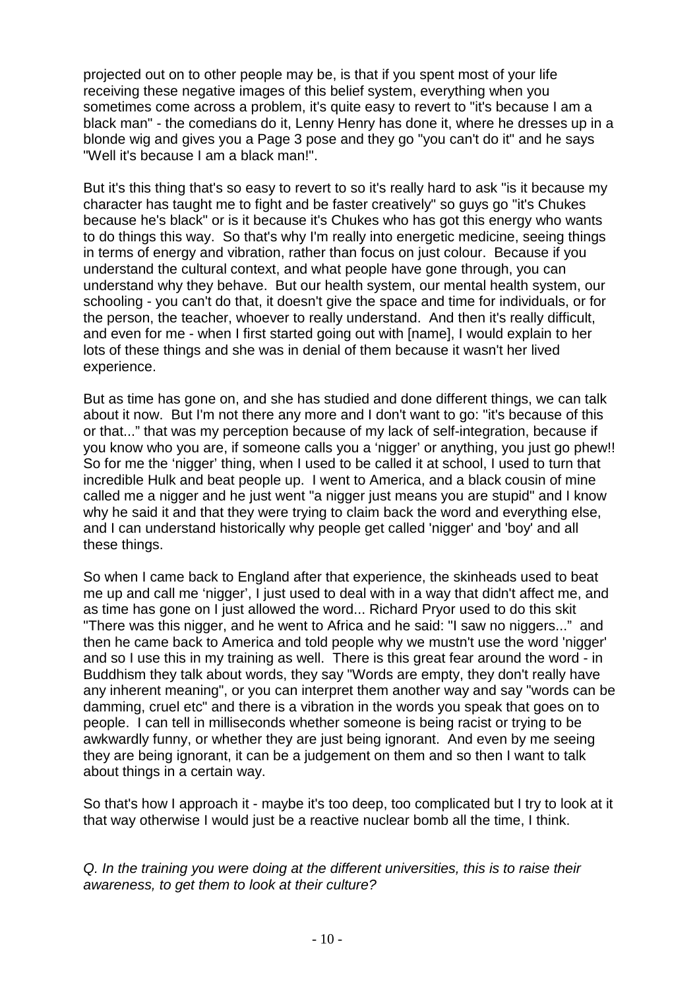projected out on to other people may be, is that if you spent most of your life receiving these negative images of this belief system, everything when you sometimes come across a problem, it's quite easy to revert to "it's because I am a black man" - the comedians do it, Lenny Henry has done it, where he dresses up in a blonde wig and gives you a Page 3 pose and they go "you can't do it" and he says "Well it's because I am a black man!".

But it's this thing that's so easy to revert to so it's really hard to ask "is it because my character has taught me to fight and be faster creatively" so guys go "it's Chukes because he's black" or is it because it's Chukes who has got this energy who wants to do things this way. So that's why I'm really into energetic medicine, seeing things in terms of energy and vibration, rather than focus on just colour. Because if you understand the cultural context, and what people have gone through, you can understand why they behave. But our health system, our mental health system, our schooling - you can't do that, it doesn't give the space and time for individuals, or for the person, the teacher, whoever to really understand. And then it's really difficult, and even for me - when I first started going out with [name], I would explain to her lots of these things and she was in denial of them because it wasn't her lived experience.

But as time has gone on, and she has studied and done different things, we can talk about it now. But I'm not there any more and I don't want to go: "it's because of this or that..." that was my perception because of my lack of self-integration, because if you know who you are, if someone calls you a 'nigger' or anything, you just go phew!! So for me the 'nigger' thing, when I used to be called it at school, I used to turn that incredible Hulk and beat people up. I went to America, and a black cousin of mine called me a nigger and he just went "a nigger just means you are stupid" and I know why he said it and that they were trying to claim back the word and everything else, and I can understand historically why people get called 'nigger' and 'boy' and all these things.

So when I came back to England after that experience, the skinheads used to beat me up and call me 'nigger', I just used to deal with in a way that didn't affect me, and as time has gone on I just allowed the word... Richard Pryor used to do this skit "There was this nigger, and he went to Africa and he said: "I saw no niggers..." and then he came back to America and told people why we mustn't use the word 'nigger' and so I use this in my training as well. There is this great fear around the word - in Buddhism they talk about words, they say "Words are empty, they don't really have any inherent meaning", or you can interpret them another way and say "words can be damming, cruel etc" and there is a vibration in the words you speak that goes on to people. I can tell in milliseconds whether someone is being racist or trying to be awkwardly funny, or whether they are just being ignorant. And even by me seeing they are being ignorant, it can be a judgement on them and so then I want to talk about things in a certain way.

So that's how I approach it - maybe it's too deep, too complicated but I try to look at it that way otherwise I would just be a reactive nuclear bomb all the time, I think.

Q. In the training you were doing at the different universities, this is to raise their awareness, to get them to look at their culture?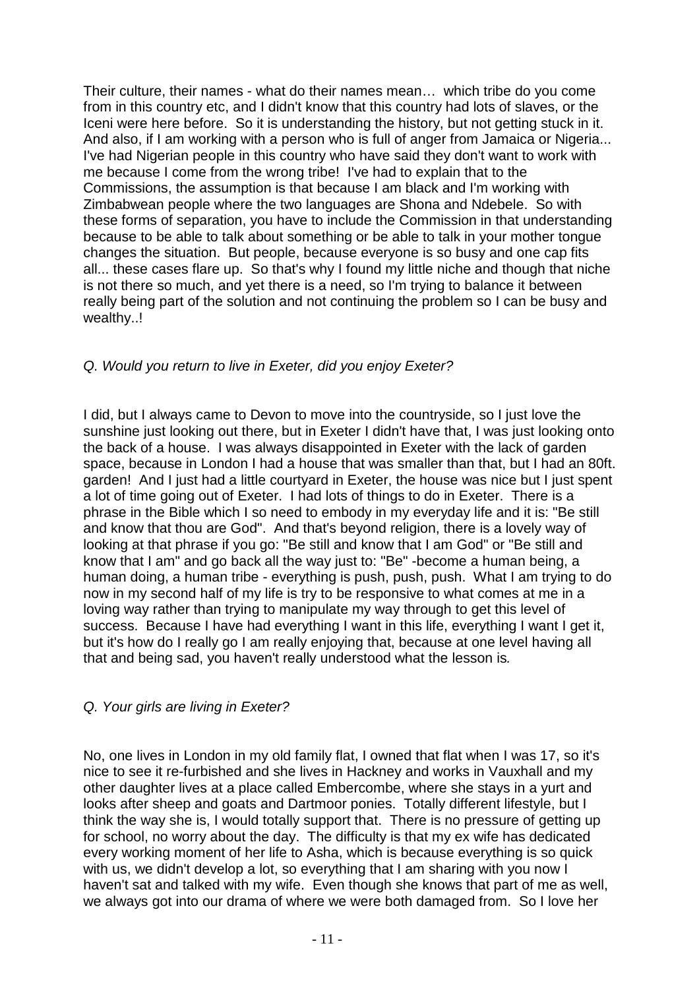Their culture, their names - what do their names mean… which tribe do you come from in this country etc, and I didn't know that this country had lots of slaves, or the Iceni were here before. So it is understanding the history, but not getting stuck in it. And also, if I am working with a person who is full of anger from Jamaica or Nigeria... I've had Nigerian people in this country who have said they don't want to work with me because I come from the wrong tribe! I've had to explain that to the Commissions, the assumption is that because I am black and I'm working with Zimbabwean people where the two languages are Shona and Ndebele. So with these forms of separation, you have to include the Commission in that understanding because to be able to talk about something or be able to talk in your mother tongue changes the situation. But people, because everyone is so busy and one cap fits all... these cases flare up. So that's why I found my little niche and though that niche is not there so much, and yet there is a need, so I'm trying to balance it between really being part of the solution and not continuing the problem so I can be busy and wealthy..!

# Q. Would you return to live in Exeter, did you enjoy Exeter?

I did, but I always came to Devon to move into the countryside, so I just love the sunshine just looking out there, but in Exeter I didn't have that, I was just looking onto the back of a house. I was always disappointed in Exeter with the lack of garden space, because in London I had a house that was smaller than that, but I had an 80ft. garden! And I just had a little courtyard in Exeter, the house was nice but I just spent a lot of time going out of Exeter. I had lots of things to do in Exeter. There is a phrase in the Bible which I so need to embody in my everyday life and it is: "Be still and know that thou are God". And that's beyond religion, there is a lovely way of looking at that phrase if you go: "Be still and know that I am God" or "Be still and know that I am" and go back all the way just to: "Be" -become a human being, a human doing, a human tribe - everything is push, push, push. What I am trying to do now in my second half of my life is try to be responsive to what comes at me in a loving way rather than trying to manipulate my way through to get this level of success. Because I have had everything I want in this life, everything I want I get it, but it's how do I really go I am really enjoying that, because at one level having all that and being sad, you haven't really understood what the lesson is.

### Q. Your girls are living in Exeter?

No, one lives in London in my old family flat, I owned that flat when I was 17, so it's nice to see it re-furbished and she lives in Hackney and works in Vauxhall and my other daughter lives at a place called Embercombe, where she stays in a yurt and looks after sheep and goats and Dartmoor ponies. Totally different lifestyle, but I think the way she is, I would totally support that. There is no pressure of getting up for school, no worry about the day. The difficulty is that my ex wife has dedicated every working moment of her life to Asha, which is because everything is so quick with us, we didn't develop a lot, so everything that I am sharing with you now I haven't sat and talked with my wife. Even though she knows that part of me as well, we always got into our drama of where we were both damaged from. So I love her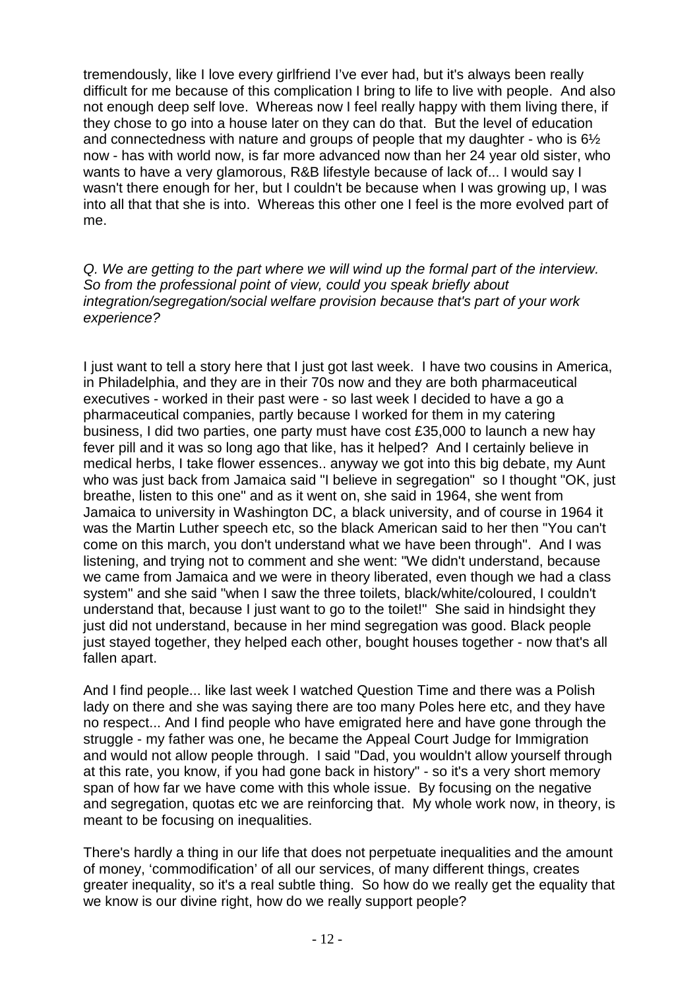tremendously, like I love every girlfriend I've ever had, but it's always been really difficult for me because of this complication I bring to life to live with people. And also not enough deep self love. Whereas now I feel really happy with them living there, if they chose to go into a house later on they can do that. But the level of education and connectedness with nature and groups of people that my daughter - who is 6½ now - has with world now, is far more advanced now than her 24 year old sister, who wants to have a very glamorous, R&B lifestyle because of lack of... I would say I wasn't there enough for her, but I couldn't be because when I was growing up, I was into all that that she is into. Whereas this other one I feel is the more evolved part of me.

Q. We are getting to the part where we will wind up the formal part of the interview. So from the professional point of view, could you speak briefly about integration/segregation/social welfare provision because that's part of your work experience?

I just want to tell a story here that I just got last week. I have two cousins in America, in Philadelphia, and they are in their 70s now and they are both pharmaceutical executives - worked in their past were - so last week I decided to have a go a pharmaceutical companies, partly because I worked for them in my catering business, I did two parties, one party must have cost £35,000 to launch a new hay fever pill and it was so long ago that like, has it helped? And I certainly believe in medical herbs, I take flower essences.. anyway we got into this big debate, my Aunt who was just back from Jamaica said "I believe in segregation" so I thought "OK, just breathe, listen to this one" and as it went on, she said in 1964, she went from Jamaica to university in Washington DC, a black university, and of course in 1964 it was the Martin Luther speech etc, so the black American said to her then "You can't come on this march, you don't understand what we have been through". And I was listening, and trying not to comment and she went: "We didn't understand, because we came from Jamaica and we were in theory liberated, even though we had a class system" and she said "when I saw the three toilets, black/white/coloured, I couldn't understand that, because I just want to go to the toilet!" She said in hindsight they just did not understand, because in her mind segregation was good. Black people just stayed together, they helped each other, bought houses together - now that's all fallen apart.

And I find people... like last week I watched Question Time and there was a Polish lady on there and she was saying there are too many Poles here etc, and they have no respect... And I find people who have emigrated here and have gone through the struggle - my father was one, he became the Appeal Court Judge for Immigration and would not allow people through. I said "Dad, you wouldn't allow yourself through at this rate, you know, if you had gone back in history" - so it's a very short memory span of how far we have come with this whole issue. By focusing on the negative and segregation, quotas etc we are reinforcing that. My whole work now, in theory, is meant to be focusing on inequalities.

There's hardly a thing in our life that does not perpetuate inequalities and the amount of money, 'commodification' of all our services, of many different things, creates greater inequality, so it's a real subtle thing. So how do we really get the equality that we know is our divine right, how do we really support people?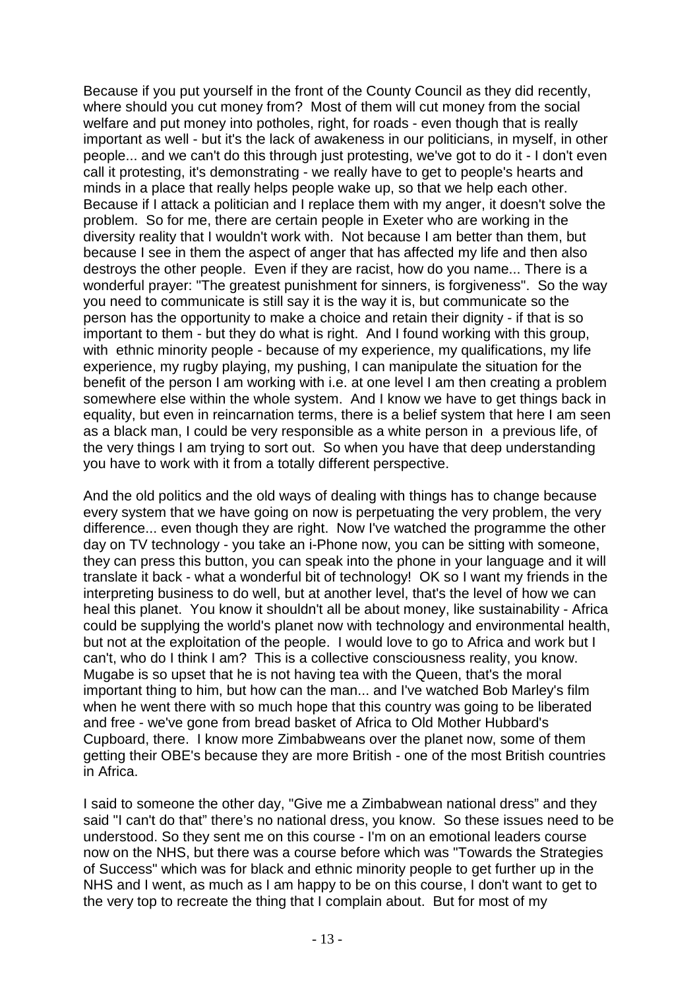Because if you put yourself in the front of the County Council as they did recently, where should you cut money from? Most of them will cut money from the social welfare and put money into potholes, right, for roads - even though that is really important as well - but it's the lack of awakeness in our politicians, in myself, in other people... and we can't do this through just protesting, we've got to do it - I don't even call it protesting, it's demonstrating - we really have to get to people's hearts and minds in a place that really helps people wake up, so that we help each other. Because if I attack a politician and I replace them with my anger, it doesn't solve the problem. So for me, there are certain people in Exeter who are working in the diversity reality that I wouldn't work with. Not because I am better than them, but because I see in them the aspect of anger that has affected my life and then also destroys the other people. Even if they are racist, how do you name... There is a wonderful prayer: "The greatest punishment for sinners, is forgiveness". So the way you need to communicate is still say it is the way it is, but communicate so the person has the opportunity to make a choice and retain their dignity - if that is so important to them - but they do what is right. And I found working with this group, with ethnic minority people - because of my experience, my qualifications, my life experience, my rugby playing, my pushing, I can manipulate the situation for the benefit of the person I am working with i.e. at one level I am then creating a problem somewhere else within the whole system. And I know we have to get things back in equality, but even in reincarnation terms, there is a belief system that here I am seen as a black man, I could be very responsible as a white person in a previous life, of the very things I am trying to sort out. So when you have that deep understanding you have to work with it from a totally different perspective.

And the old politics and the old ways of dealing with things has to change because every system that we have going on now is perpetuating the very problem, the very difference... even though they are right. Now I've watched the programme the other day on TV technology - you take an i-Phone now, you can be sitting with someone, they can press this button, you can speak into the phone in your language and it will translate it back - what a wonderful bit of technology! OK so I want my friends in the interpreting business to do well, but at another level, that's the level of how we can heal this planet. You know it shouldn't all be about money, like sustainability - Africa could be supplying the world's planet now with technology and environmental health, but not at the exploitation of the people. I would love to go to Africa and work but I can't, who do I think I am? This is a collective consciousness reality, you know. Mugabe is so upset that he is not having tea with the Queen, that's the moral important thing to him, but how can the man... and I've watched Bob Marley's film when he went there with so much hope that this country was going to be liberated and free - we've gone from bread basket of Africa to Old Mother Hubbard's Cupboard, there. I know more Zimbabweans over the planet now, some of them getting their OBE's because they are more British - one of the most British countries in Africa.

I said to someone the other day, "Give me a Zimbabwean national dress" and they said "I can't do that" there's no national dress, you know. So these issues need to be understood. So they sent me on this course - I'm on an emotional leaders course now on the NHS, but there was a course before which was "Towards the Strategies of Success" which was for black and ethnic minority people to get further up in the NHS and I went, as much as I am happy to be on this course, I don't want to get to the very top to recreate the thing that I complain about. But for most of my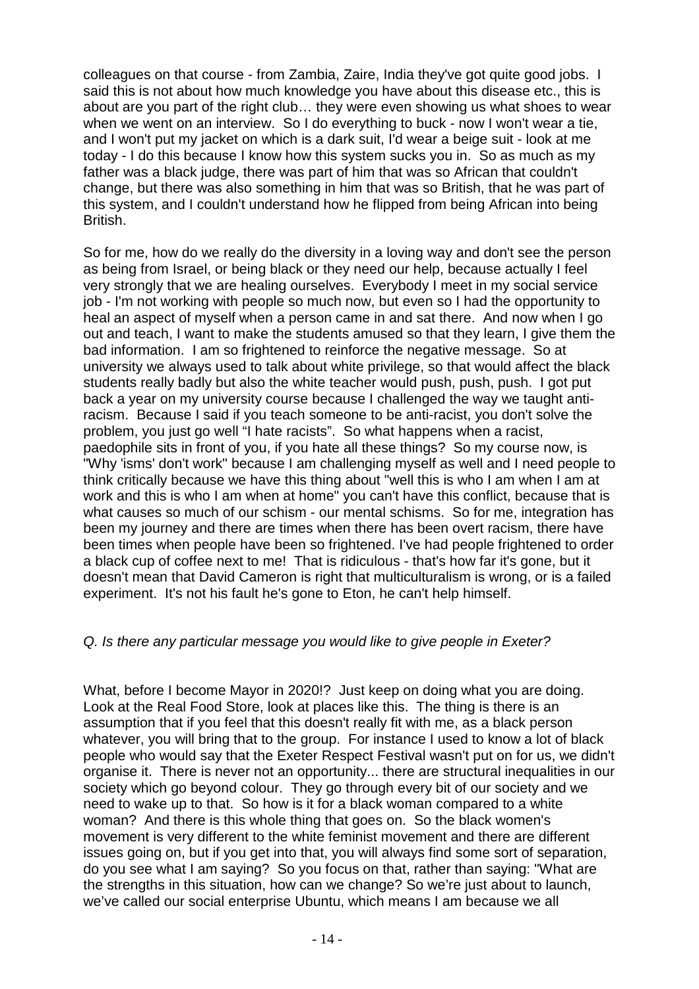colleagues on that course - from Zambia, Zaire, India they've got quite good jobs. I said this is not about how much knowledge you have about this disease etc., this is about are you part of the right club… they were even showing us what shoes to wear when we went on an interview. So I do everything to buck - now I won't wear a tie, and I won't put my jacket on which is a dark suit, I'd wear a beige suit - look at me today - I do this because I know how this system sucks you in. So as much as my father was a black judge, there was part of him that was so African that couldn't change, but there was also something in him that was so British, that he was part of this system, and I couldn't understand how he flipped from being African into being British.

So for me, how do we really do the diversity in a loving way and don't see the person as being from Israel, or being black or they need our help, because actually I feel very strongly that we are healing ourselves. Everybody I meet in my social service job - I'm not working with people so much now, but even so I had the opportunity to heal an aspect of myself when a person came in and sat there. And now when I go out and teach, I want to make the students amused so that they learn, I give them the bad information. I am so frightened to reinforce the negative message. So at university we always used to talk about white privilege, so that would affect the black students really badly but also the white teacher would push, push, push. I got put back a year on my university course because I challenged the way we taught antiracism. Because I said if you teach someone to be anti-racist, you don't solve the problem, you just go well "I hate racists". So what happens when a racist, paedophile sits in front of you, if you hate all these things? So my course now, is "Why 'isms' don't work" because I am challenging myself as well and I need people to think critically because we have this thing about "well this is who I am when I am at work and this is who I am when at home" you can't have this conflict, because that is what causes so much of our schism - our mental schisms. So for me, integration has been my journey and there are times when there has been overt racism, there have been times when people have been so frightened. I've had people frightened to order a black cup of coffee next to me! That is ridiculous - that's how far it's gone, but it doesn't mean that David Cameron is right that multiculturalism is wrong, or is a failed experiment. It's not his fault he's gone to Eton, he can't help himself.

### Q. Is there any particular message you would like to give people in Exeter?

What, before I become Mayor in 2020!? Just keep on doing what you are doing. Look at the Real Food Store, look at places like this. The thing is there is an assumption that if you feel that this doesn't really fit with me, as a black person whatever, you will bring that to the group. For instance I used to know a lot of black people who would say that the Exeter Respect Festival wasn't put on for us, we didn't organise it. There is never not an opportunity... there are structural inequalities in our society which go beyond colour. They go through every bit of our society and we need to wake up to that. So how is it for a black woman compared to a white woman? And there is this whole thing that goes on. So the black women's movement is very different to the white feminist movement and there are different issues going on, but if you get into that, you will always find some sort of separation, do you see what I am saying? So you focus on that, rather than saying: "What are the strengths in this situation, how can we change? So we're just about to launch, we've called our social enterprise Ubuntu, which means I am because we all